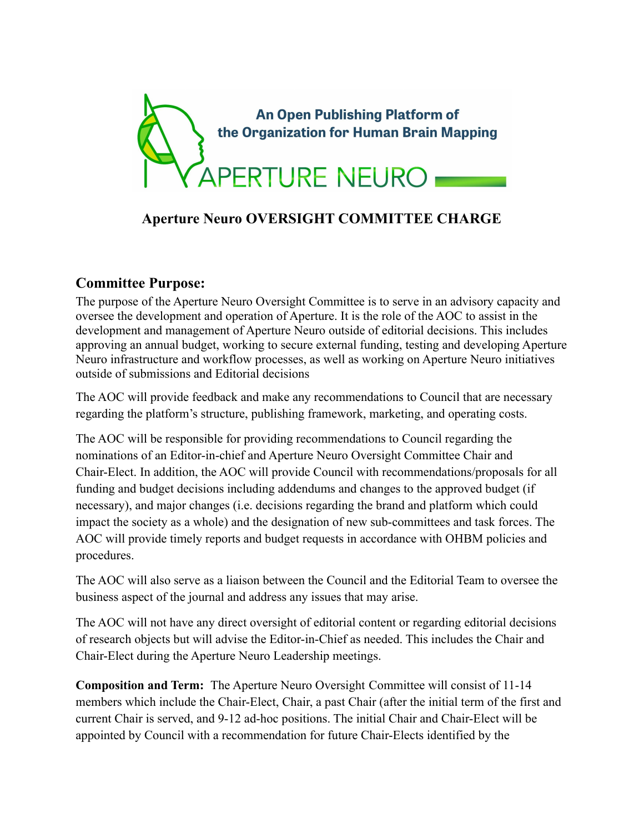

## **Aperture Neuro OVERSIGHT COMMITTEE CHARGE**

## **Committee Purpose:**

The purpose of the Aperture Neuro Oversight Committee is to serve in an advisory capacity and oversee the development and operation of Aperture. It is the role of the AOC to assist in the development and management of Aperture Neuro outside of editorial decisions. This includes approving an annual budget, working to secure external funding, testing and developing Aperture Neuro infrastructure and workflow processes, as well as working on Aperture Neuro initiatives outside of submissions and Editorial decisions

The AOC will provide feedback and make any recommendations to Council that are necessary regarding the platform's structure, publishing framework, marketing, and operating costs.

The AOC will be responsible for providing recommendations to Council regarding the nominations of an Editor-in-chief and Aperture Neuro Oversight Committee Chair and Chair-Elect. In addition, the AOC will provide Council with recommendations/proposals for all funding and budget decisions including addendums and changes to the approved budget (if necessary), and major changes (i.e. decisions regarding the brand and platform which could impact the society as a whole) and the designation of new sub-committees and task forces. The AOC will provide timely reports and budget requests in accordance with OHBM policies and procedures.

The AOC will also serve as a liaison between the Council and the Editorial Team to oversee the business aspect of the journal and address any issues that may arise.

The AOC will not have any direct oversight of editorial content or regarding editorial decisions of research objects but will advise the Editor-in-Chief as needed. This includes the Chair and Chair-Elect during the Aperture Neuro Leadership meetings.

**Composition and Term:** The Aperture Neuro Oversight Committee will consist of 11-14 members which include the Chair-Elect, Chair, a past Chair (after the initial term of the first and current Chair is served, and 9-12 ad-hoc positions. The initial Chair and Chair-Elect will be appointed by Council with a recommendation for future Chair-Elects identified by the